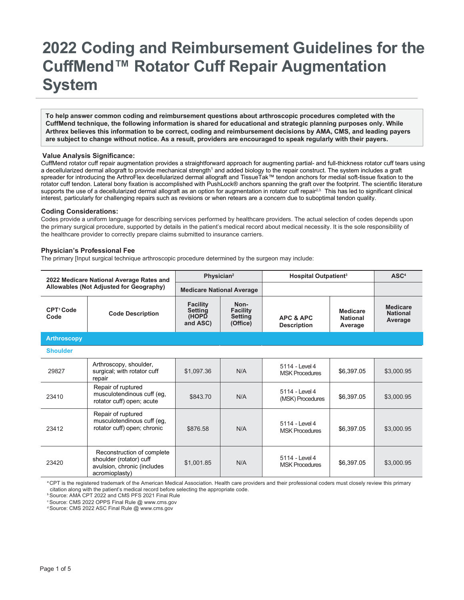## **2022 Coding and Reimbursement Guidelines for the CuffMend™ Rotator Cuff Repair Augmentation System**

**To help answer common coding and reimbursement questions about arthroscopic procedures completed with the CuffMend technique, the following information is shared for educational and strategic planning purposes only. While Arthrex believes this information to be correct, coding and reimbursement decisions by AMA, CMS, and leading payers are subject to change without notice. As a result, providers are encouraged to speak regularly with their payers.**

## **Value Analysis Significance:**

CuffMend rotator cuff repair augmentation provides a straightforward approach for augmenting partial- and full-thickness rotator cuff tears using a decellularized dermal allograft to provide mechanical strength<sup>1</sup> and added biology to the repair construct. The system includes a graft spreader for introducing the ArthroFlex decellularized dermal allograft and TissueTak™ tendon anchors for medial soft-tissue fixation to the rotator cuff tendon. Lateral bony fixation is accomplished with PushLock® anchors spanning the graft over the footprint. The scientific literature supports the use of a decellularized dermal allograft as an option for augmentation in rotator cuff repair<sup>2,3.</sup> This has led to significant clinical interest, particularly for challenging repairs such as revisions or when retears are a concern due to suboptimal tendon quality.

## **Coding Considerations:**

Codes provide a uniform language for describing services performed by healthcare providers. The actual selection of codes depends upon the primary surgical procedure, supported by details in the patient's medical record about medical necessity. It is the sole responsibility of the healthcare provider to correctly prepare claims submitted to insurance carriers.

## **Physician's Professional Fee**

The primary [Input surgical technique arthroscopic procedure determined by the surgeon may include:

| 2022 Medicare National Average Rates and<br>Allowables (Not Adjusted for Geography) |                                                                                                        | Physician <sup>2</sup>                                 |                                                       | Hospital Outpatient <sup>3</sup>           |                                               | $\mathbf{ASC}^4$                              |
|-------------------------------------------------------------------------------------|--------------------------------------------------------------------------------------------------------|--------------------------------------------------------|-------------------------------------------------------|--------------------------------------------|-----------------------------------------------|-----------------------------------------------|
|                                                                                     |                                                                                                        | <b>Medicare National Average</b>                       |                                                       |                                            |                                               |                                               |
| CPT <sup>1</sup> Code<br>Code                                                       | <b>Code Description</b>                                                                                | <b>Facility</b><br><b>Setting</b><br>(HOPD<br>and ASC) | Non-<br><b>Facility</b><br><b>Setting</b><br>(Office) | <b>APC &amp; APC</b><br><b>Description</b> | <b>Medicare</b><br><b>National</b><br>Average | <b>Medicare</b><br><b>National</b><br>Average |
| <b>Arthroscopy</b>                                                                  |                                                                                                        |                                                        |                                                       |                                            |                                               |                                               |
| <b>Shoulder</b>                                                                     |                                                                                                        |                                                        |                                                       |                                            |                                               |                                               |
| 29827                                                                               | Arthroscopy, shoulder,<br>surgical; with rotator cuff<br>repair                                        | \$1.097.36                                             | N/A                                                   | 5114 - Level 4<br><b>MSK Procedures</b>    | \$6,397.05                                    | \$3,000.95                                    |
| 23410                                                                               | Repair of ruptured<br>musculotendinous cuff (eg,<br>rotator cuff) open; acute                          | \$843.70                                               | N/A                                                   | 5114 - I evel 4<br>(MSK) Procedures        | \$6,397.05                                    | \$3.000.95                                    |
| 23412                                                                               | Repair of ruptured<br>musculotendinous cuff (eg,<br>rotator cuff) open; chronic                        | \$876.58                                               | N/A                                                   | 5114 - Level 4<br><b>MSK Procedures</b>    | \$6,397.05                                    | \$3,000.95                                    |
| 23420                                                                               | Reconstruction of complete<br>shoulder (rotator) cuff<br>avulsion, chronic (includes<br>acromioplasty) | \$1,001.85                                             | N/A                                                   | 5114 - Level 4<br><b>MSK Procedures</b>    | \$6,397.05                                    | \$3.000.95                                    |

a CPT is the registered trademark of the American Medical Association. Health care providers and their professional coders must closely review this primary citation along with the patient's medical record before selecting the appropriate code.

**b Source: AMA CPT 2022 and CMS PFS 2021 Final Rule** 

c Source: CMS 2022 OPPS Final Rule [@ www.cms.gov](http://www.cms.gov/)

d Source: CMS 2022 ASC Final Rule [@ www.cms.gov](http://www.cms.gov/)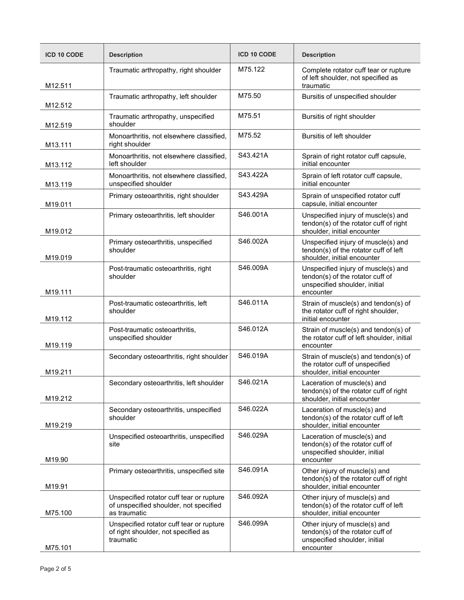| <b>ICD 10 CODE</b> | <b>Description</b>                                                                                 | <b>ICD 10 CODE</b> | <b>Description</b>                                                                                                    |  |
|--------------------|----------------------------------------------------------------------------------------------------|--------------------|-----------------------------------------------------------------------------------------------------------------------|--|
| M12.511            | Traumatic arthropathy, right shoulder                                                              | M75.122            | Complete rotator cuff tear or rupture<br>of left shoulder, not specified as<br>traumatic                              |  |
| M12.512            | Traumatic arthropathy, left shoulder                                                               | M75.50             | Bursitis of unspecified shoulder                                                                                      |  |
| M12.519            | Traumatic arthropathy, unspecified<br>shoulder                                                     | M75.51             | Bursitis of right shoulder                                                                                            |  |
| M13.111            | Monoarthritis, not elsewhere classified,<br>right shoulder                                         | M75.52             | Bursitis of left shoulder                                                                                             |  |
| M13.112            | Monoarthritis, not elsewhere classified,<br>left shoulder                                          | S43.421A           | Sprain of right rotator cuff capsule,<br>initial encounter                                                            |  |
| M13.119            | Monoarthritis, not elsewhere classified,<br>unspecified shoulder                                   | S43.422A           | Sprain of left rotator cuff capsule,<br>initial encounter                                                             |  |
| M19.011            | Primary osteoarthritis, right shoulder                                                             | S43.429A           | Sprain of unspecified rotator cuff<br>capsule, initial encounter                                                      |  |
| M19.012            | Primary osteoarthritis, left shoulder                                                              | S46.001A           | Unspecified injury of muscle(s) and<br>tendon(s) of the rotator cuff of right<br>shoulder, initial encounter          |  |
| M19.019            | Primary osteoarthritis, unspecified<br>shoulder                                                    | S46.002A           | Unspecified injury of muscle(s) and<br>tendon(s) of the rotator cuff of left<br>shoulder, initial encounter           |  |
| M19.111            | Post-traumatic osteoarthritis, right<br>shoulder                                                   | S46.009A           | Unspecified injury of muscle(s) and<br>tendon(s) of the rotator cuff of<br>unspecified shoulder, initial<br>encounter |  |
| M19.112            | Post-traumatic osteoarthritis, left<br>shoulder                                                    | S46.011A           | Strain of muscle(s) and tendon(s) of<br>the rotator cuff of right shoulder,<br>initial encounter                      |  |
| M19.119            | Post-traumatic osteoarthritis,<br>unspecified shoulder                                             | S46.012A           | Strain of muscle(s) and tendon(s) of<br>the rotator cuff of left shoulder, initial<br>encounter                       |  |
| M19.211            | Secondary osteoarthritis, right shoulder                                                           | S46.019A           | Strain of muscle(s) and tendon(s) of<br>the rotator cuff of unspecified<br>shoulder, initial encounter                |  |
| M19.212            | Secondary osteoarthritis, left shoulder                                                            | S46.021A           | Laceration of muscle(s) and<br>tendon(s) of the rotator cuff of right<br>shoulder, initial encounter                  |  |
| M19.219            | Secondary osteoarthritis, unspecified<br>shoulder                                                  | S46.022A           | Laceration of muscle(s) and<br>tendon(s) of the rotator cuff of left<br>shoulder, initial encounter                   |  |
| M19.90             | Unspecified osteoarthritis, unspecified<br>site                                                    | S46.029A           | Laceration of muscle(s) and<br>tendon(s) of the rotator cuff of<br>unspecified shoulder, initial<br>encounter         |  |
| M19.91             | Primary osteoarthritis, unspecified site                                                           | S46.091A           | Other injury of muscle(s) and<br>tendon(s) of the rotator cuff of right<br>shoulder, initial encounter                |  |
| M75.100            | Unspecified rotator cuff tear or rupture<br>of unspecified shoulder, not specified<br>as traumatic | S46.092A           | Other injury of muscle(s) and<br>tendon(s) of the rotator cuff of left<br>shoulder, initial encounter                 |  |
| M75.101            | Unspecified rotator cuff tear or rupture<br>of right shoulder, not specified as<br>traumatic       | S46.099A           | Other injury of muscle(s) and<br>tendon(s) of the rotator cuff of<br>unspecified shoulder, initial<br>encounter       |  |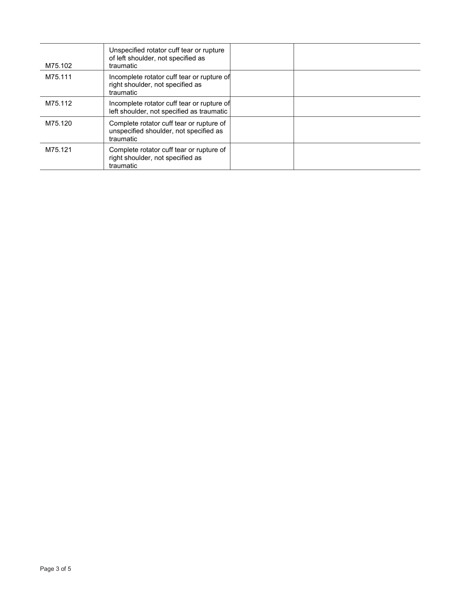| M75.102 | Unspecified rotator cuff tear or rupture<br>of left shoulder, not specified as<br>traumatic     |  |
|---------|-------------------------------------------------------------------------------------------------|--|
| M75.111 | Incomplete rotator cuff tear or rupture of<br>right shoulder, not specified as<br>traumatic     |  |
| M75.112 | Incomplete rotator cuff tear or rupture of<br>left shoulder, not specified as traumatic         |  |
| M75.120 | Complete rotator cuff tear or rupture of<br>unspecified shoulder, not specified as<br>traumatic |  |
| M75.121 | Complete rotator cuff tear or rupture of<br>right shoulder, not specified as<br>traumatic       |  |